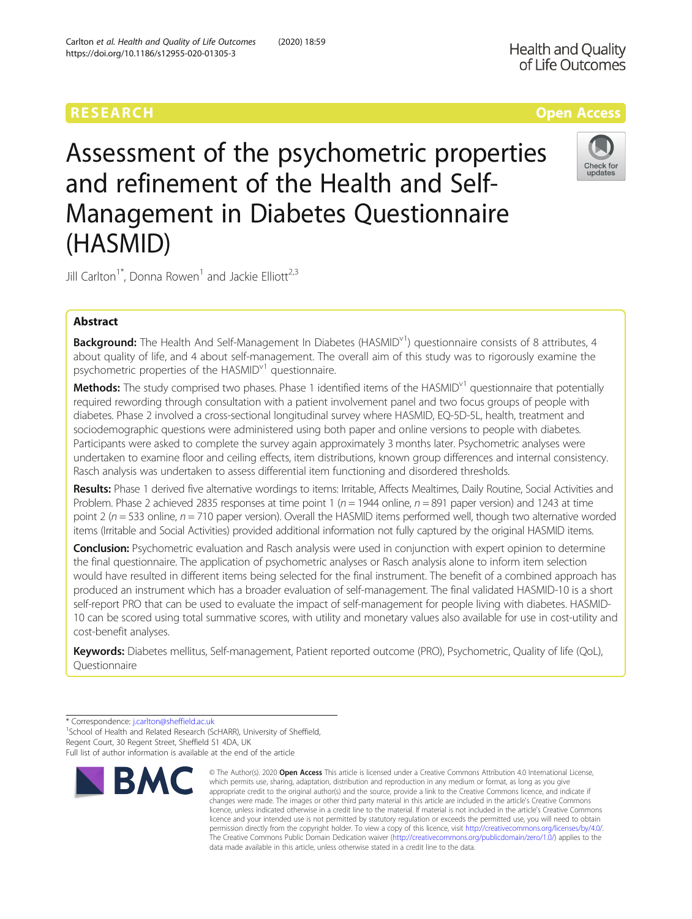# Assessment of the psychometric properties and refinement of the Health and Self-Management in Diabetes Questionnaire (HASMID)

Jill Carlton<sup>1\*</sup>, Donna Rowen<sup>1</sup> and Jackie Elliott<sup>2,3</sup>

# Abstract

Background: The Health And Self-Management In Diabetes (HASMID<sup>V1</sup>) questionnaire consists of 8 attributes, 4 about quality of life, and 4 about self-management. The overall aim of this study was to rigorously examine the psychometric properties of the  $HASMID<sup>v1</sup>$  questionnaire.

Methods: The study comprised two phases. Phase 1 identified items of the HASMID<sup>v1</sup> questionnaire that potentially required rewording through consultation with a patient involvement panel and two focus groups of people with diabetes. Phase 2 involved a cross-sectional longitudinal survey where HASMID, EQ-5D-5L, health, treatment and sociodemographic questions were administered using both paper and online versions to people with diabetes. Participants were asked to complete the survey again approximately 3 months later. Psychometric analyses were undertaken to examine floor and ceiling effects, item distributions, known group differences and internal consistency. Rasch analysis was undertaken to assess differential item functioning and disordered thresholds.

Results: Phase 1 derived five alternative wordings to items: Irritable, Affects Mealtimes, Daily Routine, Social Activities and Problem. Phase 2 achieved 2835 responses at time point 1 ( $n = 1944$  online,  $n = 891$  paper version) and 1243 at time point 2 ( $n = 533$  online,  $n = 710$  paper version). Overall the HASMID items performed well, though two alternative worded items (Irritable and Social Activities) provided additional information not fully captured by the original HASMID items.

**Conclusion:** Psychometric evaluation and Rasch analysis were used in conjunction with expert opinion to determine the final questionnaire. The application of psychometric analyses or Rasch analysis alone to inform item selection would have resulted in different items being selected for the final instrument. The benefit of a combined approach has produced an instrument which has a broader evaluation of self-management. The final validated HASMID-10 is a short self-report PRO that can be used to evaluate the impact of self-management for people living with diabetes. HASMID-10 can be scored using total summative scores, with utility and monetary values also available for use in cost-utility and cost-benefit analyses.

Keywords: Diabetes mellitus, Self-management, Patient reported outcome (PRO), Psychometric, Quality of life (QoL), **Questionnaire** 

<sup>1</sup>School of Health and Related Research (ScHARR), University of Sheffield, Regent Court, 30 Regent Street, Sheffield S1 4DA, UK

Full list of author information is available at the end of the article



© The Author(s), 2020 **Open Access** This article is licensed under a Creative Commons Attribution 4.0 International License,







<sup>\*</sup> Correspondence: [j.carlton@sheffield.ac.uk](mailto:j.carlton@sheffield.ac.uk) <sup>1</sup>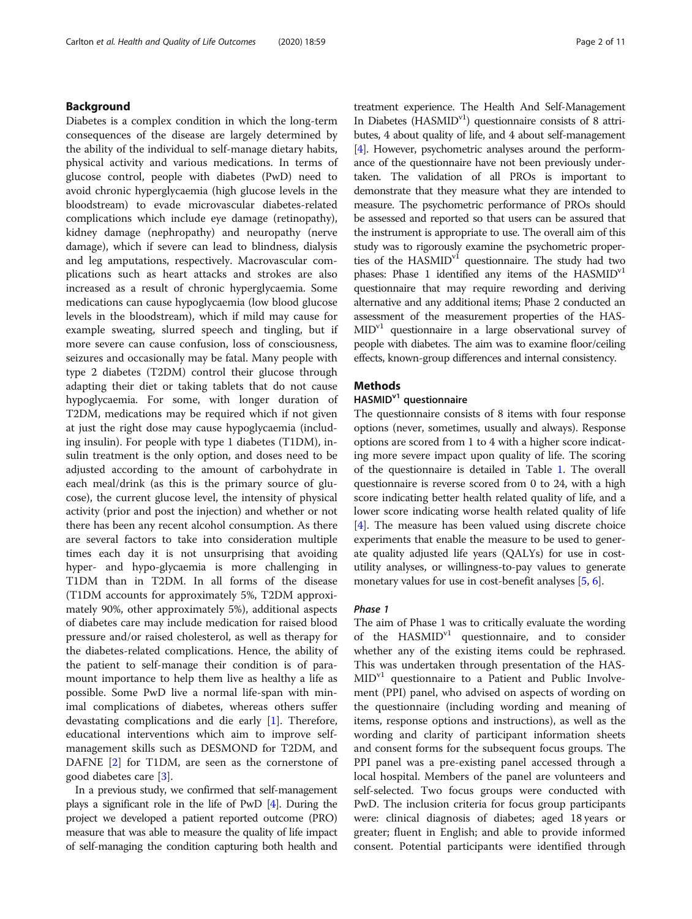# Background

Diabetes is a complex condition in which the long-term consequences of the disease are largely determined by the ability of the individual to self-manage dietary habits, physical activity and various medications. In terms of glucose control, people with diabetes (PwD) need to avoid chronic hyperglycaemia (high glucose levels in the bloodstream) to evade microvascular diabetes-related complications which include eye damage (retinopathy), kidney damage (nephropathy) and neuropathy (nerve damage), which if severe can lead to blindness, dialysis and leg amputations, respectively. Macrovascular complications such as heart attacks and strokes are also increased as a result of chronic hyperglycaemia. Some medications can cause hypoglycaemia (low blood glucose levels in the bloodstream), which if mild may cause for example sweating, slurred speech and tingling, but if more severe can cause confusion, loss of consciousness, seizures and occasionally may be fatal. Many people with type 2 diabetes (T2DM) control their glucose through adapting their diet or taking tablets that do not cause hypoglycaemia. For some, with longer duration of T2DM, medications may be required which if not given at just the right dose may cause hypoglycaemia (including insulin). For people with type 1 diabetes (T1DM), insulin treatment is the only option, and doses need to be adjusted according to the amount of carbohydrate in each meal/drink (as this is the primary source of glucose), the current glucose level, the intensity of physical activity (prior and post the injection) and whether or not there has been any recent alcohol consumption. As there are several factors to take into consideration multiple times each day it is not unsurprising that avoiding hyper- and hypo-glycaemia is more challenging in T1DM than in T2DM. In all forms of the disease (T1DM accounts for approximately 5%, T2DM approximately 90%, other approximately 5%), additional aspects of diabetes care may include medication for raised blood pressure and/or raised cholesterol, as well as therapy for the diabetes-related complications. Hence, the ability of the patient to self-manage their condition is of paramount importance to help them live as healthy a life as possible. Some PwD live a normal life-span with minimal complications of diabetes, whereas others suffer devastating complications and die early [[1\]](#page-9-0). Therefore, educational interventions which aim to improve selfmanagement skills such as DESMOND for T2DM, and DAFNE [[2\]](#page-9-0) for T1DM, are seen as the cornerstone of good diabetes care [[3\]](#page-9-0).

In a previous study, we confirmed that self-management plays a significant role in the life of PwD [[4](#page-9-0)]. During the project we developed a patient reported outcome (PRO) measure that was able to measure the quality of life impact of self-managing the condition capturing both health and treatment experience. The Health And Self-Management In Diabetes ( $HASMID<sup>v1</sup>$ ) questionnaire consists of 8 attributes, 4 about quality of life, and 4 about self-management [[4](#page-9-0)]. However, psychometric analyses around the performance of the questionnaire have not been previously undertaken. The validation of all PROs is important to demonstrate that they measure what they are intended to measure. The psychometric performance of PROs should be assessed and reported so that users can be assured that the instrument is appropriate to use. The overall aim of this study was to rigorously examine the psychometric properties of the HASMID<sup>v1</sup> questionnaire. The study had two phases: Phase 1 identified any items of the HASMID<sup>v1</sup> questionnaire that may require rewording and deriving alternative and any additional items; Phase 2 conducted an assessment of the measurement properties of the HAS-MIDv1 questionnaire in a large observational survey of people with diabetes. The aim was to examine floor/ceiling effects, known-group differences and internal consistency.

# Methods

# HASMID<sup>v1</sup> questionnaire

The questionnaire consists of 8 items with four response options (never, sometimes, usually and always). Response options are scored from 1 to 4 with a higher score indicating more severe impact upon quality of life. The scoring of the questionnaire is detailed in Table [1.](#page-2-0) The overall questionnaire is reverse scored from 0 to 24, with a high score indicating better health related quality of life, and a lower score indicating worse health related quality of life [[4\]](#page-9-0). The measure has been valued using discrete choice experiments that enable the measure to be used to generate quality adjusted life years (QALYs) for use in costutility analyses, or willingness-to-pay values to generate monetary values for use in cost-benefit analyses [\[5](#page-9-0), [6\]](#page-9-0).

#### Phase 1

The aim of Phase 1 was to critically evaluate the wording of the HASMID<sup>v1</sup> questionnaire, and to consider whether any of the existing items could be rephrased. This was undertaken through presentation of the HAS- $MID<sup>v1</sup>$  questionnaire to a Patient and Public Involvement (PPI) panel, who advised on aspects of wording on the questionnaire (including wording and meaning of items, response options and instructions), as well as the wording and clarity of participant information sheets and consent forms for the subsequent focus groups. The PPI panel was a pre-existing panel accessed through a local hospital. Members of the panel are volunteers and self-selected. Two focus groups were conducted with PwD. The inclusion criteria for focus group participants were: clinical diagnosis of diabetes; aged 18 years or greater; fluent in English; and able to provide informed consent. Potential participants were identified through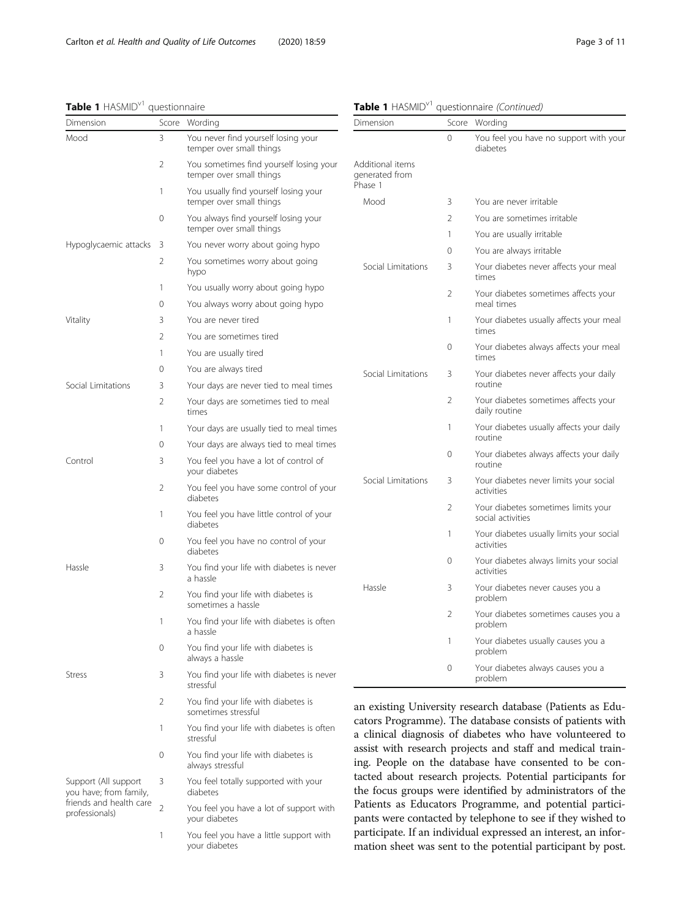# <span id="page-2-0"></span>Table 1 HASMID<sup>v1</sup> questionnaire

|  | Table 1 HASMID <sup>v1</sup> questionnaire (Continued) |  |
|--|--------------------------------------------------------|--|

| Dimension                                      |                                           | Score Wording                                                        | Dimension                          |                                                 | Score Wording                                                                                                           |
|------------------------------------------------|-------------------------------------------|----------------------------------------------------------------------|------------------------------------|-------------------------------------------------|-------------------------------------------------------------------------------------------------------------------------|
| Mood                                           | 3                                         | You never find yourself losing your<br>temper over small things      |                                    | 0                                               | You feel you have no support with your<br>diabetes                                                                      |
|                                                | 2                                         | You sometimes find yourself losing your<br>temper over small things  | Additional items<br>generated from |                                                 |                                                                                                                         |
|                                                | $\mathbf{1}$                              | You usually find yourself losing your<br>temper over small things    | Phase 1<br>Mood                    | 3                                               | You are never irritable                                                                                                 |
|                                                | 0                                         | You always find yourself losing your                                 |                                    | 2                                               | You are sometimes irritable                                                                                             |
|                                                |                                           | temper over small things                                             |                                    | 1                                               | You are usually irritable                                                                                               |
| Hypoglycaemic attacks 3                        |                                           | You never worry about going hypo                                     |                                    | 0                                               | You are always irritable                                                                                                |
|                                                | 2                                         | You sometimes worry about going<br>hypo                              | Social Limitations                 | 3                                               | Your diabetes never affects your meal<br>times                                                                          |
|                                                | 1                                         | You usually worry about going hypo                                   |                                    | 2                                               | Your diabetes sometimes affects your                                                                                    |
|                                                | $\circ$                                   | You always worry about going hypo                                    |                                    |                                                 | meal times                                                                                                              |
| Vitality                                       | 3                                         | You are never tired                                                  |                                    | 1                                               | Your diabetes usually affects your meal<br>times                                                                        |
|                                                | 2                                         | You are sometimes tired                                              |                                    | $\mathbf{0}$                                    | Your diabetes always affects your meal                                                                                  |
|                                                | 1                                         | You are usually tired                                                |                                    |                                                 | times                                                                                                                   |
|                                                | 0                                         | You are always tired                                                 | Social Limitations                 | 3                                               | Your diabetes never affects your daily                                                                                  |
| Social Limitations                             | 3                                         | Your days are never tied to meal times                               |                                    |                                                 | routine                                                                                                                 |
|                                                | 2                                         | Your days are sometimes tied to meal<br>times                        |                                    | 2                                               | Your diabetes sometimes affects your<br>daily routine                                                                   |
|                                                | $\mathbf{1}$                              | Your days are usually tied to meal times                             |                                    | 1                                               | Your diabetes usually affects your daily                                                                                |
|                                                | 0                                         | Your days are always tied to meal times                              |                                    |                                                 | routine                                                                                                                 |
| Control                                        | 3                                         | You feel you have a lot of control of<br>your diabetes               |                                    | 0                                               | Your diabetes always affects your daily<br>routine                                                                      |
|                                                | 2                                         | You feel you have some control of your<br>diabetes                   | Social Limitations                 | 3                                               | Your diabetes never limits your social<br>activities                                                                    |
|                                                | $\mathbf{1}$                              | You feel you have little control of your<br>diabetes                 |                                    | 2                                               | Your diabetes sometimes limits your<br>social activities                                                                |
|                                                | $\circ$                                   | You feel you have no control of your<br>diabetes                     |                                    | 1                                               | Your diabetes usually limits your social<br>activities                                                                  |
| Hassle                                         | 3                                         | You find your life with diabetes is never<br>a hassle                |                                    | 0                                               | Your diabetes always limits your social<br>activities                                                                   |
|                                                | 2                                         | You find your life with diabetes is<br>sometimes a hassle            | Hassle                             | 3                                               | Your diabetes never causes you a<br>problem                                                                             |
| $\mathbf{1}$<br>a hassle                       | You find your life with diabetes is often |                                                                      | 2                                  | Your diabetes sometimes causes you a<br>problem |                                                                                                                         |
|                                                | 0                                         | You find your life with diabetes is                                  |                                    |                                                 | Your diabetes usually causes you a<br>problem                                                                           |
| <b>Stress</b>                                  | 3                                         | always a hassle<br>You find your life with diabetes is never         |                                    | 0                                               | Your diabetes always causes you a<br>problem                                                                            |
|                                                | 2                                         | stressful<br>You find your life with diabetes is                     |                                    |                                                 | an existing University research database (Patients as Edu-                                                              |
|                                                | $\mathbf{1}$                              | sometimes stressful<br>You find your life with diabetes is often     |                                    |                                                 | cators Programme). The database consists of patients with<br>a clinical diagnosis of diabetes who have volunteered to   |
|                                                | 0                                         | stressful<br>You find your life with diabetes is<br>always stressful |                                    |                                                 | assist with research projects and staff and medical train-<br>ing. People on the database have consented to be con-     |
| Support (All support<br>you have; from family, | 3                                         | You feel totally supported with your<br>diabetes                     |                                    |                                                 | tacted about research projects. Potential participants for<br>the focus groups were identified by administrators of the |

friends and health care 2 You feel you have a lot of support with your diabetes

professionals)

1 You feel you have a little support with your diabetes

cators Programme). The database consists of patients with a clinical diagnosis of diabetes who have volunteered to assist with research projects and staff and medical training. People on the database have consented to be contacted about research projects. Potential participants for the focus groups were identified by administrators of the Patients as Educators Programme, and potential participants were contacted by telephone to see if they wished to participate. If an individual expressed an interest, an information sheet was sent to the potential participant by post.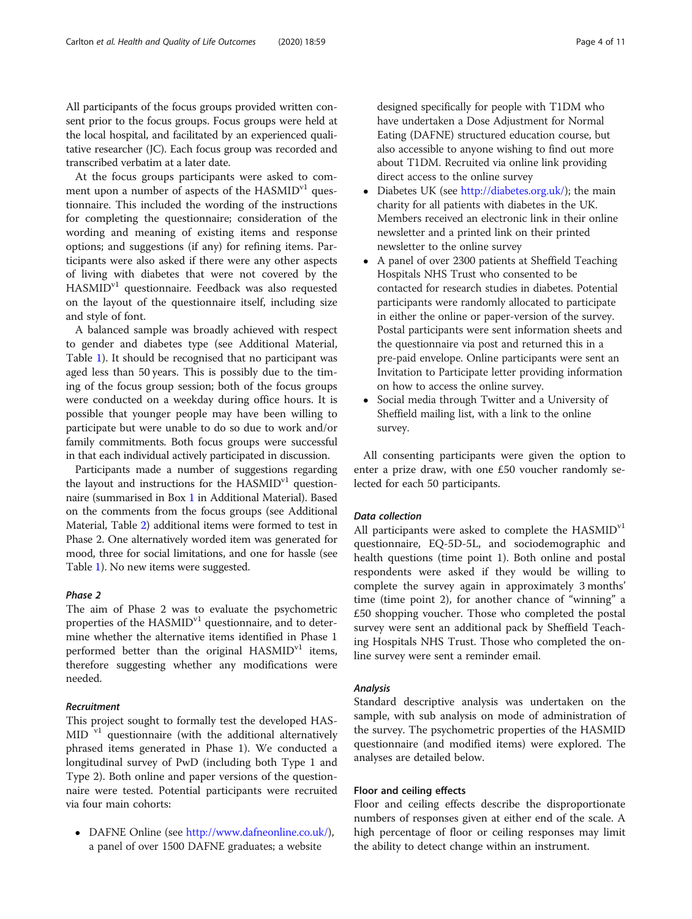All participants of the focus groups provided written consent prior to the focus groups. Focus groups were held at the local hospital, and facilitated by an experienced qualitative researcher (JC). Each focus group was recorded and transcribed verbatim at a later date.

At the focus groups participants were asked to comment upon a number of aspects of the  $HASMID<sup>v1</sup>$  questionnaire. This included the wording of the instructions for completing the questionnaire; consideration of the wording and meaning of existing items and response options; and suggestions (if any) for refining items. Participants were also asked if there were any other aspects of living with diabetes that were not covered by the HASMIDv1 questionnaire. Feedback was also requested on the layout of the questionnaire itself, including size and style of font.

A balanced sample was broadly achieved with respect to gender and diabetes type (see Additional Material, Table [1\)](#page-9-0). It should be recognised that no participant was aged less than 50 years. This is possibly due to the timing of the focus group session; both of the focus groups were conducted on a weekday during office hours. It is possible that younger people may have been willing to participate but were unable to do so due to work and/or family commitments. Both focus groups were successful in that each individual actively participated in discussion.

Participants made a number of suggestions regarding the layout and instructions for the  $HASMID<sup>v1</sup>$  questionnaire (summarised in Box [1](#page-9-0) in Additional Material). Based on the comments from the focus groups (see Additional Material, Table [2\)](#page-9-0) additional items were formed to test in Phase 2. One alternatively worded item was generated for mood, three for social limitations, and one for hassle (see Table [1\)](#page-2-0). No new items were suggested.

# Phase 2

The aim of Phase 2 was to evaluate the psychometric properties of the  $HASMID<sup>v1</sup>$  questionnaire, and to determine whether the alternative items identified in Phase 1 performed better than the original  $HASMID<sup>v1</sup>$  items, therefore suggesting whether any modifications were needed.

#### Recruitment

This project sought to formally test the developed HAS-MID<sup>v1</sup> questionnaire (with the additional alternatively phrased items generated in Phase 1). We conducted a longitudinal survey of PwD (including both Type 1 and Type 2). Both online and paper versions of the questionnaire were tested. Potential participants were recruited via four main cohorts:

• DAFNE Online (see <http://www.dafneonline.co.uk/>), a panel of over 1500 DAFNE graduates; a website

designed specifically for people with T1DM who have undertaken a Dose Adjustment for Normal Eating (DAFNE) structured education course, but also accessible to anyone wishing to find out more about T1DM. Recruited via online link providing direct access to the online survey

- Diabetes UK (see <http://diabetes.org.uk/>); the main charity for all patients with diabetes in the UK. Members received an electronic link in their online newsletter and a printed link on their printed newsletter to the online survey
- A panel of over 2300 patients at Sheffield Teaching Hospitals NHS Trust who consented to be contacted for research studies in diabetes. Potential participants were randomly allocated to participate in either the online or paper-version of the survey. Postal participants were sent information sheets and the questionnaire via post and returned this in a pre-paid envelope. Online participants were sent an Invitation to Participate letter providing information on how to access the online survey.
- Social media through Twitter and a University of Sheffield mailing list, with a link to the online survey.

All consenting participants were given the option to enter a prize draw, with one £50 voucher randomly selected for each 50 participants.

#### Data collection

All participants were asked to complete the HASMID<sup>v1</sup> questionnaire, EQ-5D-5L, and sociodemographic and health questions (time point 1). Both online and postal respondents were asked if they would be willing to complete the survey again in approximately 3 months' time (time point 2), for another chance of "winning" a £50 shopping voucher. Those who completed the postal survey were sent an additional pack by Sheffield Teaching Hospitals NHS Trust. Those who completed the online survey were sent a reminder email.

# Analysis

Standard descriptive analysis was undertaken on the sample, with sub analysis on mode of administration of the survey. The psychometric properties of the HASMID questionnaire (and modified items) were explored. The analyses are detailed below.

# Floor and ceiling effects

Floor and ceiling effects describe the disproportionate numbers of responses given at either end of the scale. A high percentage of floor or ceiling responses may limit the ability to detect change within an instrument.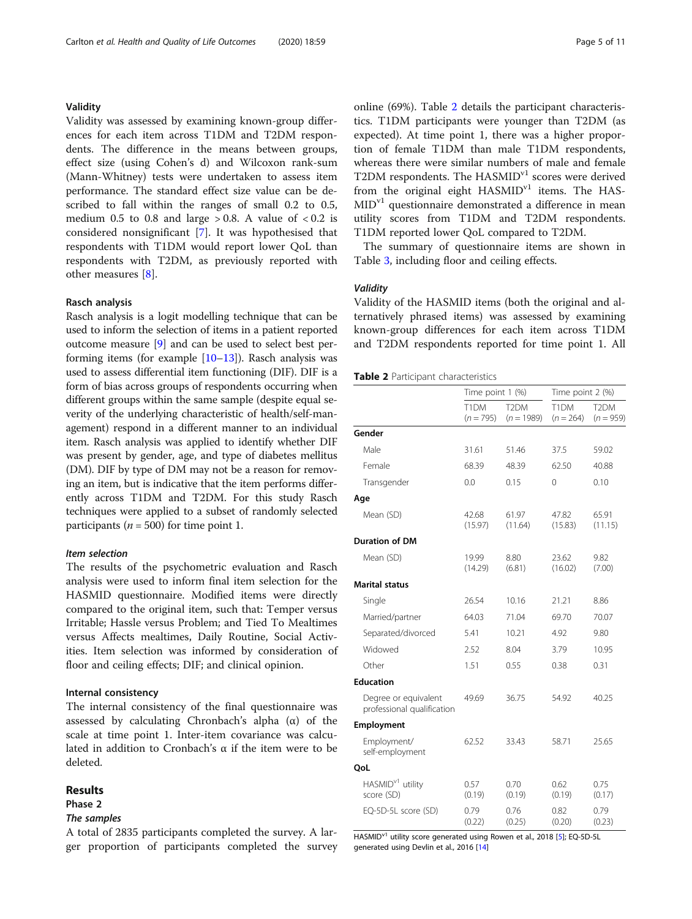# Validity

Validity was assessed by examining known-group differences for each item across T1DM and T2DM respondents. The difference in the means between groups, effect size (using Cohen's d) and Wilcoxon rank-sum (Mann-Whitney) tests were undertaken to assess item performance. The standard effect size value can be described to fall within the ranges of small 0.2 to 0.5, medium 0.5 to 0.8 and large  $> 0.8$ . A value of  $< 0.2$  is considered nonsignificant [\[7](#page-9-0)]. It was hypothesised that respondents with T1DM would report lower QoL than respondents with T2DM, as previously reported with other measures [\[8](#page-9-0)].

#### Rasch analysis

Rasch analysis is a logit modelling technique that can be used to inform the selection of items in a patient reported outcome measure [\[9](#page-9-0)] and can be used to select best performing items (for example [[10](#page-9-0)–[13\]](#page-10-0)). Rasch analysis was used to assess differential item functioning (DIF). DIF is a form of bias across groups of respondents occurring when different groups within the same sample (despite equal severity of the underlying characteristic of health/self-management) respond in a different manner to an individual item. Rasch analysis was applied to identify whether DIF was present by gender, age, and type of diabetes mellitus (DM). DIF by type of DM may not be a reason for removing an item, but is indicative that the item performs differently across T1DM and T2DM. For this study Rasch techniques were applied to a subset of randomly selected participants ( $n = 500$ ) for time point 1.

#### Item selection

The results of the psychometric evaluation and Rasch analysis were used to inform final item selection for the HASMID questionnaire. Modified items were directly compared to the original item, such that: Temper versus Irritable; Hassle versus Problem; and Tied To Mealtimes versus Affects mealtimes, Daily Routine, Social Activities. Item selection was informed by consideration of floor and ceiling effects; DIF; and clinical opinion.

# Internal consistency

The internal consistency of the final questionnaire was assessed by calculating Chronbach's alpha  $(α)$  of the scale at time point 1. Inter-item covariance was calculated in addition to Cronbach's α if the item were to be deleted.

### Results

# Phase 2

# The samples

A total of 2835 participants completed the survey. A larger proportion of participants completed the survey online (69%). Table 2 details the participant characteristics. T1DM participants were younger than T2DM (as expected). At time point 1, there was a higher proportion of female T1DM than male T1DM respondents, whereas there were similar numbers of male and female T2DM respondents. The HASMID<sup>v1</sup> scores were derived from the original eight  $HASMID<sup>v1</sup>$  items. The  $HAS-$ MID<sup>v1</sup> questionnaire demonstrated a difference in mean utility scores from T1DM and T2DM respondents. T1DM reported lower QoL compared to T2DM.

The summary of questionnaire items are shown in Table [3,](#page-5-0) including floor and ceiling effects.

#### **Validity**

Validity of the HASMID items (both the original and alternatively phrased items) was assessed by examining known-group differences for each item across T1DM and T2DM respondents reported for time point 1. All

Table 2 Participant characteristics

|                                                    | Time point 1 (%)    |                                   | Time point 2 (%)    |                                  |
|----------------------------------------------------|---------------------|-----------------------------------|---------------------|----------------------------------|
|                                                    | T1DM<br>$(n = 795)$ | T <sub>2</sub> DM<br>$(n = 1989)$ | T1DM<br>$(n = 264)$ | T <sub>2</sub> DM<br>$(n = 959)$ |
| Gender                                             |                     |                                   |                     |                                  |
| Male                                               | 31.61               | 51.46                             | 37.5                | 59.02                            |
| Female                                             | 68.39               | 48.39                             | 62.50               | 40.88                            |
| Transgender                                        | 0.0                 | 0.15                              | 0                   | 0.10                             |
| Age                                                |                     |                                   |                     |                                  |
| Mean (SD)                                          | 42.68<br>(15.97)    | 61.97<br>(11.64)                  | 47.82<br>(15.83)    | 65.91<br>(11.15)                 |
| <b>Duration of DM</b>                              |                     |                                   |                     |                                  |
| Mean (SD)                                          | 19.99<br>(14.29)    | 8.80<br>(6.81)                    | 23.62<br>(16.02)    | 9.82<br>(7.00)                   |
| <b>Marital status</b>                              |                     |                                   |                     |                                  |
| Single                                             | 26.54               | 10.16                             | 21.21               | 8.86                             |
| Married/partner                                    | 64.03               | 71.04                             | 69.70               | 70.07                            |
| Separated/divorced                                 | 5.41                | 10.21                             | 4.92                | 9.80                             |
| Widowed                                            | 2.52                | 8.04                              | 3.79                | 10.95                            |
| Other                                              | 1.51                | 0.55                              | 0.38                | 0.31                             |
| <b>Education</b>                                   |                     |                                   |                     |                                  |
| Degree or equivalent<br>professional qualification | 49.69               | 36.75                             | 54.92               | 40.25                            |
| Employment                                         |                     |                                   |                     |                                  |
| Employment/<br>self-employment                     | 62.52               | 33.43                             | 58.71               | 25.65                            |
| QoL                                                |                     |                                   |                     |                                  |
| HASMID <sup>v1</sup> utility<br>score (SD)         | 0.57<br>(0.19)      | 0.70<br>(0.19)                    | 0.62<br>(0.19)      | 0.75<br>(0.17)                   |
| EQ-5D-5L score (SD)                                | 0.79<br>(0.22)      | 0.76<br>(0.25)                    | 0.82<br>(0.20)      | 0.79<br>(0.23)                   |

HASMID<sup>v1</sup> utility score generated using Rowen et al., 2018 [[5](#page-9-0)]; EQ-5D-5L generated using Devlin et al., 2016 [[14\]](#page-10-0)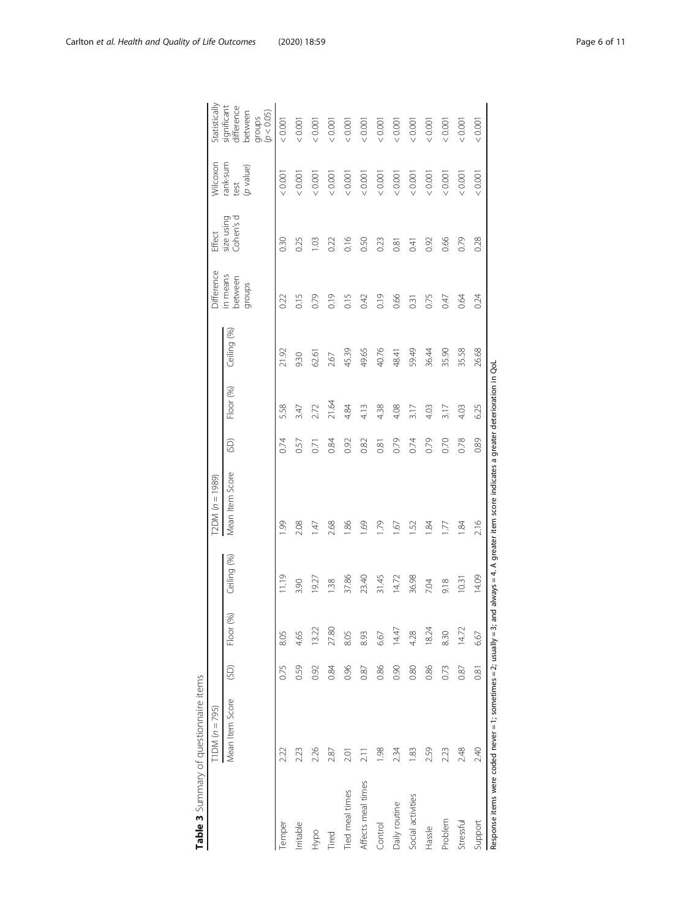|                    | Mean Item Score                                                  | (5D) | $(96)$<br>Floor | Ceiling (%) | Mean Item Score                                                               | (SD) | Floor (%) | Ceiling (%) | in means<br>between<br>groups | Cohen's d<br>size using | rank-sum<br>(enlev d<br>test | significant<br>difference<br>(p < 0.05)<br>between<br>groups |
|--------------------|------------------------------------------------------------------|------|-----------------|-------------|-------------------------------------------------------------------------------|------|-----------|-------------|-------------------------------|-------------------------|------------------------------|--------------------------------------------------------------|
| Temper             | 2.22                                                             | 0.75 | 8.05            | 11.19       | 1.99                                                                          | 0.74 | 5.58      | 21.92       | 0.22                          | 0.30                    | 0.001                        | 0.001                                                        |
| Irritable          | 2.23                                                             | 0.59 | 4.65            | 3.90        | 2.08                                                                          | 0.57 | 3.47      | 930         | 0.15                          | 0.25                    | 0.0001                       | 0.001                                                        |
| Hypo               | 2.26                                                             | 0.92 | 13.22           | 1927        | 1.47                                                                          | 571  | 2.72      | 62.61       | 0.79                          | 1.03                    | 0.0001                       | 0.001                                                        |
| Tired              | 2.87                                                             | 0.84 | 27.80           | 1.38        | 2.68                                                                          | 0.84 | 21.64     | 2.67        | 0.19                          | 0.22                    | < 0.001                      | 0.001                                                        |
| Tied meal times    | 2.01                                                             | 0.96 | 8.05            | 37.86       | 1.86                                                                          | 0.92 | 4.84      | 45.39       | 0.15                          | 0.16                    | < 0.001                      | 0.001                                                        |
| Affects meal times | 211                                                              | 0.87 | 8.93            | 23.40       | 1.69                                                                          | 0.82 | 4.13      | 49.65       | 0.42                          | 0.50                    | < 0.001                      | 0.001                                                        |
| Control            | 1.98                                                             | 0.86 | 6.67            | 31.45       | 1.79                                                                          | 0.81 | 4.38      | 40.76       | 0.19                          | 0.23                    | < 0.001                      | 0.001                                                        |
| Daily routine      | 234                                                              | 0.90 | 14.47           | 14.72       | Ğ.                                                                            | 0.79 | 4.08      | 48.41       | 0.66                          | 0.81                    | < 0.001                      | 0.001                                                        |
| Social activities  | 1.83                                                             | 0.80 | 4.28            | 36.98       | 1.52                                                                          | 0.74 | 3.17      | 59.49       | 0.31                          | 0.41                    | < 0.001                      | 0.001                                                        |
| Hassle             | 2.59                                                             | 0.86 | 18.24           | 7.04        | 1.84                                                                          | 0.79 | 4.03      | 36.44       | 0.75                          | 0.92                    | 0.0001                       | 0.001                                                        |
| Problem            | 2.23                                                             | 0.73 | 8.30            | 9.18        | 1.77                                                                          | 0.70 | 3.17      | 35.90       | 0.47                          | 0.66                    | < 0.001                      | 0.001                                                        |
| Stressful          | 2.48                                                             | 0.87 | 14.72           | 10.31       | 1.84                                                                          | 0.78 | 4.03      | 35.58       | 0.64                          | 0.79                    | < 0.001                      | 0.001                                                        |
| Support            | 2.40                                                             | 0.81 | 6.67            | 14.09       | 2.16                                                                          | 0.89 | 6.25      | 26.68       | 0.24                          | 0.28                    | < 0.001                      | 0.001                                                        |
|                    | Response items were coded never = 1; sometimes = 2; usually = 3; |      |                 |             | and always = 4. A greater item score indicates a greater deterioration in QoL |      |           |             |                               |                         |                              |                                                              |

| $-1.1$<br>הורה והראה היה ה<br>j |  |
|---------------------------------|--|
| $\ddot{\zeta}$                  |  |

 $\boxed{\text{TDM} (n = 795)}$ 

T1DM (n = 795) T2DM (n = 1989) Difference

 $\boxed{\text{TDM} (n = 1989)}$ 

Effect

Difference

Wilcoxon

<span id="page-5-0"></span>**Statistically**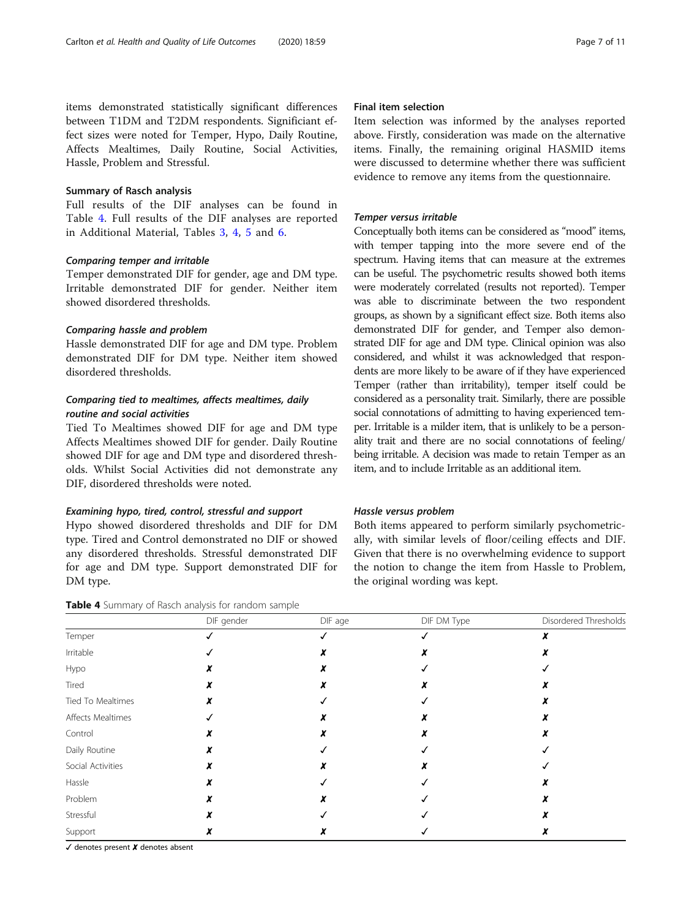items demonstrated statistically significant differences between T1DM and T2DM respondents. Significiant effect sizes were noted for Temper, Hypo, Daily Routine, Affects Mealtimes, Daily Routine, Social Activities, Hassle, Problem and Stressful.

# Summary of Rasch analysis

Full results of the DIF analyses can be found in Table 4. Full results of the DIF analyses are reported in Additional Material, Tables [3](#page-9-0), [4](#page-9-0), [5](#page-9-0) and [6.](#page-9-0)

# Comparing temper and irritable

Temper demonstrated DIF for gender, age and DM type. Irritable demonstrated DIF for gender. Neither item showed disordered thresholds.

#### Comparing hassle and problem

Hassle demonstrated DIF for age and DM type. Problem demonstrated DIF for DM type. Neither item showed disordered thresholds.

# Comparing tied to mealtimes, affects mealtimes, daily routine and social activities

Tied To Mealtimes showed DIF for age and DM type Affects Mealtimes showed DIF for gender. Daily Routine showed DIF for age and DM type and disordered thresholds. Whilst Social Activities did not demonstrate any DIF, disordered thresholds were noted.

### Examining hypo, tired, control, stressful and support

Hypo showed disordered thresholds and DIF for DM type. Tired and Control demonstrated no DIF or showed any disordered thresholds. Stressful demonstrated DIF for age and DM type. Support demonstrated DIF for DM type.

| Table 4 Summary of Rasch analysis for random sample |  |  |  |  |
|-----------------------------------------------------|--|--|--|--|
|-----------------------------------------------------|--|--|--|--|

# Final item selection

Item selection was informed by the analyses reported above. Firstly, consideration was made on the alternative items. Finally, the remaining original HASMID items were discussed to determine whether there was sufficient evidence to remove any items from the questionnaire.

#### Temper versus irritable

Conceptually both items can be considered as "mood" items, with temper tapping into the more severe end of the spectrum. Having items that can measure at the extremes can be useful. The psychometric results showed both items were moderately correlated (results not reported). Temper was able to discriminate between the two respondent groups, as shown by a significant effect size. Both items also demonstrated DIF for gender, and Temper also demonstrated DIF for age and DM type. Clinical opinion was also considered, and whilst it was acknowledged that respondents are more likely to be aware of if they have experienced Temper (rather than irritability), temper itself could be considered as a personality trait. Similarly, there are possible social connotations of admitting to having experienced temper. Irritable is a milder item, that is unlikely to be a personality trait and there are no social connotations of feeling/ being irritable. A decision was made to retain Temper as an item, and to include Irritable as an additional item.

#### Hassle versus problem

Both items appeared to perform similarly psychometrically, with similar levels of floor/ceiling effects and DIF. Given that there is no overwhelming evidence to support the notion to change the item from Hassle to Problem, the original wording was kept.

|                   | DIF gender | DIF age | DIF DM Type | Disordered Thresholds |
|-------------------|------------|---------|-------------|-----------------------|
| Temper            |            |         |             |                       |
| Irritable         |            |         |             |                       |
| Hypo              |            |         |             |                       |
| Tired             |            |         |             |                       |
| Tied To Mealtimes |            |         |             |                       |
| Affects Mealtimes |            |         |             |                       |
| Control           |            |         |             |                       |
| Daily Routine     |            |         |             |                       |
| Social Activities |            |         |             |                       |
| Hassle            |            |         |             |                       |
| Problem           |            |         |             |                       |
| Stressful         |            |         |             |                       |
| Support           |            |         |             |                       |

✓ denotes present ✘ denotes absent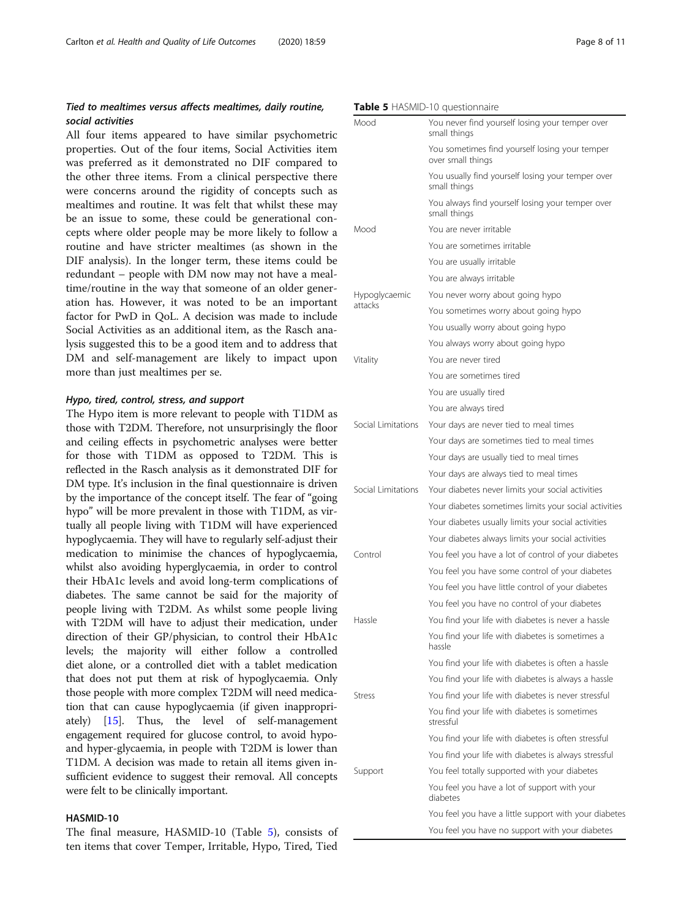# Tied to mealtimes versus affects mealtimes, daily routine, social activities

All four items appeared to have similar psychometric properties. Out of the four items, Social Activities item was preferred as it demonstrated no DIF compared to the other three items. From a clinical perspective there were concerns around the rigidity of concepts such as mealtimes and routine. It was felt that whilst these may be an issue to some, these could be generational concepts where older people may be more likely to follow a routine and have stricter mealtimes (as shown in the DIF analysis). In the longer term, these items could be redundant – people with DM now may not have a mealtime/routine in the way that someone of an older generation has. However, it was noted to be an important factor for PwD in QoL. A decision was made to include Social Activities as an additional item, as the Rasch analysis suggested this to be a good item and to address that DM and self-management are likely to impact upon more than just mealtimes per se.

#### Hypo, tired, control, stress, and support

The Hypo item is more relevant to people with T1DM as those with T2DM. Therefore, not unsurprisingly the floor and ceiling effects in psychometric analyses were better for those with T1DM as opposed to T2DM. This is reflected in the Rasch analysis as it demonstrated DIF for DM type. It's inclusion in the final questionnaire is driven by the importance of the concept itself. The fear of "going hypo" will be more prevalent in those with T1DM, as virtually all people living with T1DM will have experienced hypoglycaemia. They will have to regularly self-adjust their medication to minimise the chances of hypoglycaemia, whilst also avoiding hyperglycaemia, in order to control their HbA1c levels and avoid long-term complications of diabetes. The same cannot be said for the majority of people living with T2DM. As whilst some people living with T2DM will have to adjust their medication, under direction of their GP/physician, to control their HbA1c levels; the majority will either follow a controlled diet alone, or a controlled diet with a tablet medication that does not put them at risk of hypoglycaemia. Only those people with more complex T2DM will need medication that can cause hypoglycaemia (if given inappropriately) [\[15\]](#page-10-0). Thus, the level of self-management engagement required for glucose control, to avoid hypoand hyper-glycaemia, in people with T2DM is lower than T1DM. A decision was made to retain all items given insufficient evidence to suggest their removal. All concepts were felt to be clinically important.

# HASMID-10

The final measure, HASMID-10 (Table 5), consists of ten items that cover Temper, Irritable, Hypo, Tired, Tied

#### Table 5 HASMID-10 questionnaire

| Mood               | You never find yourself losing your temper over<br>small things     |
|--------------------|---------------------------------------------------------------------|
|                    | You sometimes find yourself losing your temper<br>over small things |
|                    | You usually find yourself losing your temper over<br>small things   |
|                    | You always find yourself losing your temper over<br>small things    |
| Mood               | You are never irritable                                             |
|                    | You are sometimes irritable                                         |
|                    | You are usually irritable                                           |
|                    | You are always irritable                                            |
| Hypoglycaemic      | You never worry about going hypo                                    |
| attacks            | You sometimes worry about going hypo                                |
|                    | You usually worry about going hypo                                  |
|                    | You always worry about going hypo                                   |
| Vitality           | You are never tired                                                 |
|                    | You are sometimes tired                                             |
|                    | You are usually tired                                               |
|                    | You are always tired                                                |
| Social Limitations | Your days are never tied to meal times                              |
|                    | Your days are sometimes tied to meal times                          |
|                    | Your days are usually tied to meal times                            |
|                    | Your days are always tied to meal times                             |
| Social Limitations | Your diabetes never limits your social activities                   |
|                    | Your diabetes sometimes limits your social activities               |
|                    | Your diabetes usually limits your social activities                 |
|                    | Your diabetes always limits your social activities                  |
| Control            | You feel you have a lot of control of your diabetes                 |
|                    | You feel you have some control of your diabetes                     |
|                    | You feel you have little control of your diabetes                   |
|                    | You feel you have no control of your diabetes                       |
| Hassle             | You find your life with diabetes is never a hassle                  |
|                    | You find your life with diabetes is sometimes a<br>hassle           |
|                    | You find your life with diabetes is often a hassle                  |
|                    | You find your life with diabetes is always a hassle                 |
| <b>Stress</b>      | You find your life with diabetes is never stressful                 |
|                    | You find your life with diabetes is sometimes<br>stressful          |
|                    | You find your life with diabetes is often stressful                 |
|                    | You find your life with diabetes is always stressful                |
| Support            | You feel totally supported with your diabetes                       |
|                    | You feel you have a lot of support with your<br>diabetes            |
|                    | You feel you have a little support with your diabetes               |
|                    | You feel you have no support with your diabetes                     |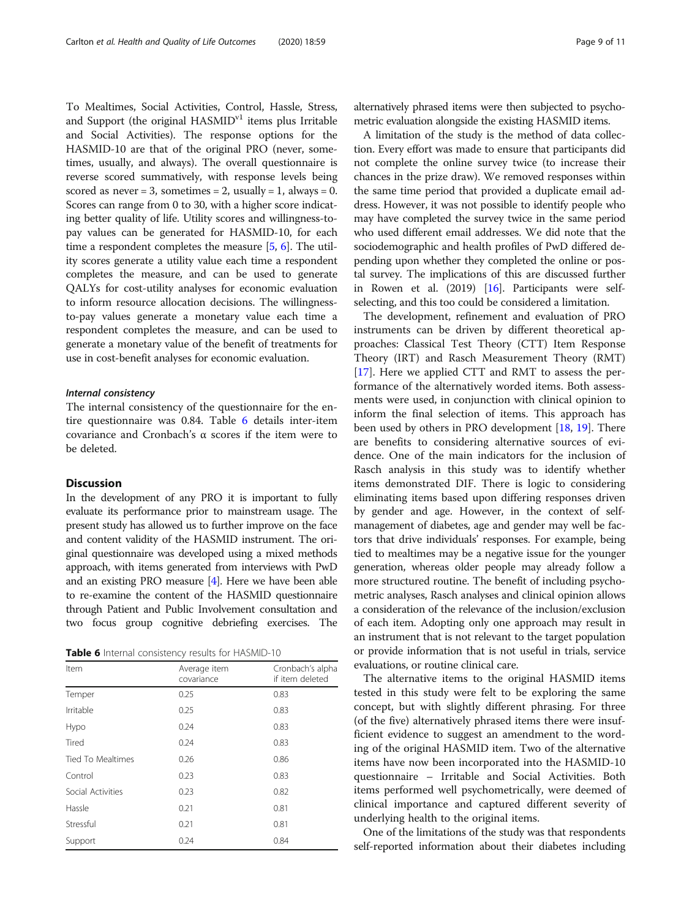To Mealtimes, Social Activities, Control, Hassle, Stress, and Support (the original  $HASMID<sup>v1</sup>$  items plus Irritable and Social Activities). The response options for the HASMID-10 are that of the original PRO (never, sometimes, usually, and always). The overall questionnaire is reverse scored summatively, with response levels being scored as never = 3, sometimes = 2, usually = 1, always = 0. Scores can range from 0 to 30, with a higher score indicating better quality of life. Utility scores and willingness-topay values can be generated for HASMID-10, for each time a respondent completes the measure [[5,](#page-9-0) [6\]](#page-9-0). The utility scores generate a utility value each time a respondent completes the measure, and can be used to generate QALYs for cost-utility analyses for economic evaluation to inform resource allocation decisions. The willingnessto-pay values generate a monetary value each time a respondent completes the measure, and can be used to generate a monetary value of the benefit of treatments for use in cost-benefit analyses for economic evaluation.

#### Internal consistency

The internal consistency of the questionnaire for the entire questionnaire was 0.84. Table 6 details inter-item covariance and Cronbach's α scores if the item were to be deleted.

# Discussion

In the development of any PRO it is important to fully evaluate its performance prior to mainstream usage. The present study has allowed us to further improve on the face and content validity of the HASMID instrument. The original questionnaire was developed using a mixed methods approach, with items generated from interviews with PwD and an existing PRO measure [[4](#page-9-0)]. Here we have been able to re-examine the content of the HASMID questionnaire through Patient and Public Involvement consultation and two focus group cognitive debriefing exercises. The

Table 6 Internal consistency results for HASMID-10

| Item                     | Average item<br>covariance | Cronbach's alpha<br>if item deleted |
|--------------------------|----------------------------|-------------------------------------|
| Temper                   | 0.25                       | 0.83                                |
| Irritable                | 0.25                       | 0.83                                |
| Hypo                     | 0.24                       | 0.83                                |
| Tired                    | 0.24                       | 0.83                                |
| <b>Tied To Mealtimes</b> | 0.26                       | 0.86                                |
| Control                  | 0.23                       | 0.83                                |
| Social Activities        | 0.23                       | 0.82                                |
| Hassle                   | 0.21                       | 0.81                                |
| Stressful                | 0.21                       | 0.81                                |
| Support                  | 0.24                       | 0.84                                |

alternatively phrased items were then subjected to psychometric evaluation alongside the existing HASMID items.

A limitation of the study is the method of data collection. Every effort was made to ensure that participants did not complete the online survey twice (to increase their chances in the prize draw). We removed responses within the same time period that provided a duplicate email address. However, it was not possible to identify people who may have completed the survey twice in the same period who used different email addresses. We did note that the sociodemographic and health profiles of PwD differed depending upon whether they completed the online or postal survey. The implications of this are discussed further in Rowen et al.  $(2019)$  [[16](#page-10-0)]. Participants were selfselecting, and this too could be considered a limitation.

The development, refinement and evaluation of PRO instruments can be driven by different theoretical approaches: Classical Test Theory (CTT) Item Response Theory (IRT) and Rasch Measurement Theory (RMT) [[17\]](#page-10-0). Here we applied CTT and RMT to assess the performance of the alternatively worded items. Both assessments were used, in conjunction with clinical opinion to inform the final selection of items. This approach has been used by others in PRO development [\[18](#page-10-0), [19\]](#page-10-0). There are benefits to considering alternative sources of evidence. One of the main indicators for the inclusion of Rasch analysis in this study was to identify whether items demonstrated DIF. There is logic to considering eliminating items based upon differing responses driven by gender and age. However, in the context of selfmanagement of diabetes, age and gender may well be factors that drive individuals' responses. For example, being tied to mealtimes may be a negative issue for the younger generation, whereas older people may already follow a more structured routine. The benefit of including psychometric analyses, Rasch analyses and clinical opinion allows a consideration of the relevance of the inclusion/exclusion of each item. Adopting only one approach may result in an instrument that is not relevant to the target population or provide information that is not useful in trials, service evaluations, or routine clinical care.

The alternative items to the original HASMID items tested in this study were felt to be exploring the same concept, but with slightly different phrasing. For three (of the five) alternatively phrased items there were insufficient evidence to suggest an amendment to the wording of the original HASMID item. Two of the alternative items have now been incorporated into the HASMID-10 questionnaire – Irritable and Social Activities. Both items performed well psychometrically, were deemed of clinical importance and captured different severity of underlying health to the original items.

One of the limitations of the study was that respondents self-reported information about their diabetes including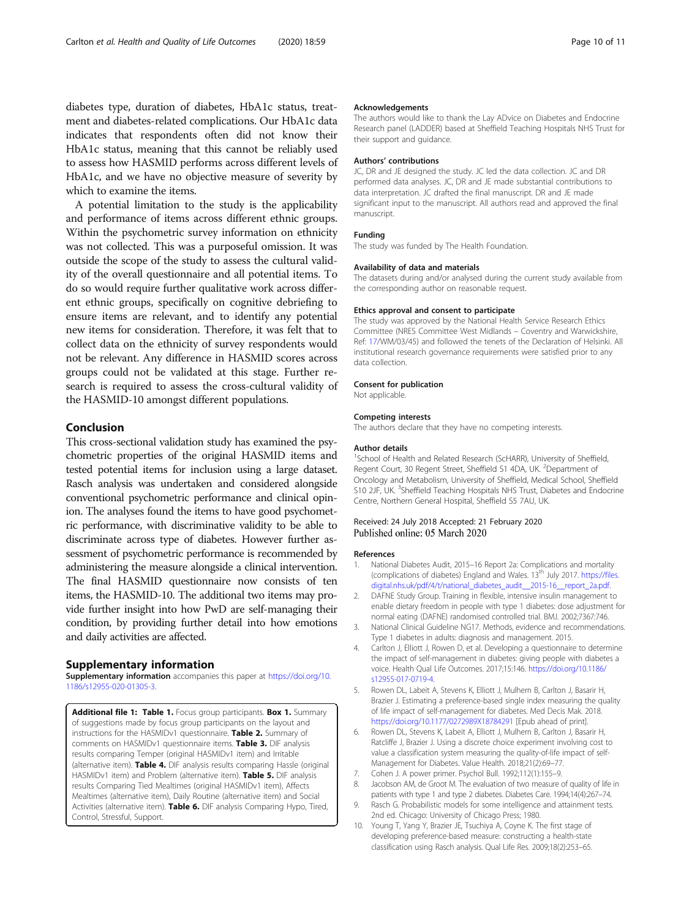<span id="page-9-0"></span>diabetes type, duration of diabetes, HbA1c status, treatment and diabetes-related complications. Our HbA1c data indicates that respondents often did not know their HbA1c status, meaning that this cannot be reliably used to assess how HASMID performs across different levels of HbA1c, and we have no objective measure of severity by which to examine the items.

A potential limitation to the study is the applicability and performance of items across different ethnic groups. Within the psychometric survey information on ethnicity was not collected. This was a purposeful omission. It was outside the scope of the study to assess the cultural validity of the overall questionnaire and all potential items. To do so would require further qualitative work across different ethnic groups, specifically on cognitive debriefing to ensure items are relevant, and to identify any potential new items for consideration. Therefore, it was felt that to collect data on the ethnicity of survey respondents would not be relevant. Any difference in HASMID scores across groups could not be validated at this stage. Further research is required to assess the cross-cultural validity of the HASMID-10 amongst different populations.

# Conclusion

This cross-sectional validation study has examined the psychometric properties of the original HASMID items and tested potential items for inclusion using a large dataset. Rasch analysis was undertaken and considered alongside conventional psychometric performance and clinical opinion. The analyses found the items to have good psychometric performance, with discriminative validity to be able to discriminate across type of diabetes. However further assessment of psychometric performance is recommended by administering the measure alongside a clinical intervention. The final HASMID questionnaire now consists of ten items, the HASMID-10. The additional two items may provide further insight into how PwD are self-managing their condition, by providing further detail into how emotions and daily activities are affected.

# Supplementary information

Supplementary information accompanies this paper at [https://doi.org/10.](https://doi.org/10.1186/s12955-020-01305-3) [1186/s12955-020-01305-3](https://doi.org/10.1186/s12955-020-01305-3).

Additional file 1: Table 1. Focus group participants. Box 1. Summary of suggestions made by focus group participants on the layout and instructions for the HASMIDv1 questionnaire. Table 2. Summary of comments on HASMIDv1 questionnaire items. Table 3. DIF analysis results comparing Temper (original HASMIDv1 item) and Irritable (alternative item). Table 4. DIF analysis results comparing Hassle (original HASMIDv1 item) and Problem (alternative item). Table 5. DIF analysis results Comparing Tied Mealtimes (original HASMIDv1 item), Affects Mealtimes (alternative item), Daily Routine (alternative item) and Social Activities (alternative item). Table 6. DIF analysis Comparing Hypo, Tired, Control, Stressful, Support.

#### Acknowledgements

The authors would like to thank the Lay ADvice on Diabetes and Endocrine Research panel (LADDER) based at Sheffield Teaching Hospitals NHS Trust for their support and guidance.

#### Authors' contributions

JC, DR and JE designed the study. JC led the data collection. JC and DR performed data analyses. JC, DR and JE made substantial contributions to data interpretation. JC drafted the final manuscript. DR and JE made significant input to the manuscript. All authors read and approved the final manuscript.

#### Funding

The study was funded by The Health Foundation.

#### Availability of data and materials

The datasets during and/or analysed during the current study available from the corresponding author on reasonable request.

#### Ethics approval and consent to participate

The study was approved by the National Health Service Research Ethics Committee (NRES Committee West Midlands – Coventry and Warwickshire, Ref: [17/](#page-10-0)WM/03/45) and followed the tenets of the Declaration of Helsinki. All institutional research governance requirements were satisfied prior to any data collection.

# Consent for publication

Not applicable.

#### Competing interests

The authors declare that they have no competing interests.

#### Author details

<sup>1</sup>School of Health and Related Research (ScHARR), University of Sheffield Regent Court, 30 Regent Street, Sheffield S1 4DA, UK. <sup>2</sup>Department of Oncology and Metabolism, University of Sheffield, Medical School, Sheffield S10 2JF, UK. <sup>3</sup>Sheffield Teaching Hospitals NHS Trust, Diabetes and Endocrine Centre, Northern General Hospital, Sheffield S5 7AU, UK.

# Received: 24 July 2018 Accepted: 21 February 2020 Published online: 05 March 2020

#### References

- 1. National Diabetes Audit, 2015–16 Report 2a: Complications and mortality (complications of diabetes) England and Wales. 13<sup>th</sup> July 2017. [https://files.](https://www.files.digital.nhs.uk/pdf/4/t/national_diabetes_audit__2015-16__report_2a.pdf) [digital.nhs.uk/pdf/4/t/national\\_diabetes\\_audit\\_\\_2015-16\\_\\_report\\_2a.pdf.](https://www.files.digital.nhs.uk/pdf/4/t/national_diabetes_audit__2015-16__report_2a.pdf)
- 2. DAFNE Study Group. Training in flexible, intensive insulin management to enable dietary freedom in people with type 1 diabetes: dose adjustment for normal eating (DAFNE) randomised controlled trial. BMJ. 2002;7367:746.
- 3. National Clinical Guideline NG17. Methods, evidence and recommendations. Type 1 diabetes in adults: diagnosis and management. 2015.
- 4. Carlton J, Elliott J, Rowen D, et al. Developing a questionnaire to determine the impact of self-management in diabetes: giving people with diabetes a voice. Health Qual Life Outcomes. 2017;15:146. [https://doi.org/10.1186/](https://doi.org/10.1186/s12955-017-0719-4) [s12955-017-0719-4.](https://doi.org/10.1186/s12955-017-0719-4)
- 5. Rowen DL, Labeit A, Stevens K, Elliott J, Mulhern B, Carlton J, Basarir H, Brazier J. Estimating a preference-based single index measuring the quality of life impact of self-management for diabetes. Med Decis Mak. 2018. <https://doi.org/10.1177/0272989X18784291> [Epub ahead of print].
- 6. Rowen DL, Stevens K, Labeit A, Elliott J, Mulhern B, Carlton J, Basarir H, Ratcliffe J, Brazier J. Using a discrete choice experiment involving cost to value a classification system measuring the quality-of-life impact of self-Management for Diabetes. Value Health. 2018;21(2):69–77.
- 7. Cohen J. A power primer. Psychol Bull. 1992;112(1):155–9.
- 8. Jacobson AM, de Groot M. The evaluation of two measure of quality of life in patients with type 1 and type 2 diabetes. Diabetes Care. 1994;14(4):267–74.
- 9. Rasch G. Probabilistic models for some intelligence and attainment tests. 2nd ed. Chicago: University of Chicago Press; 1980.
- 10. Young T, Yang Y, Brazier JE, Tsuchiya A, Coyne K. The first stage of developing preference-based measure: constructing a health-state classification using Rasch analysis. Qual Life Res. 2009;18(2):253–65.